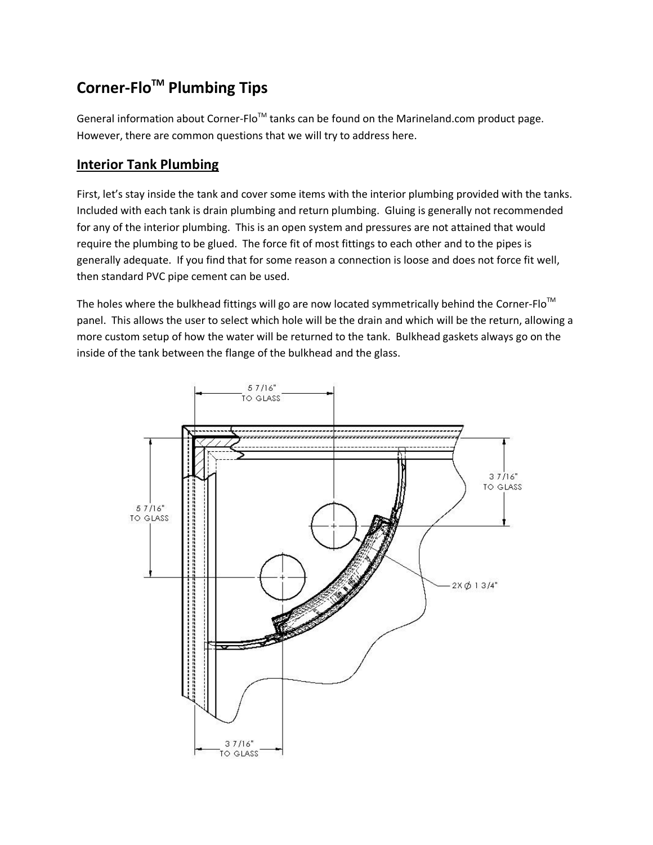# **Corner-FloTM Plumbing Tips**

General information about Corner-Flo<sup>TM</sup> tanks can be found on the Marineland.com product page. However, there are common questions that we will try to address here.

# **Interior Tank Plumbing**

First, let's stay inside the tank and cover some items with the interior plumbing provided with the tanks. Included with each tank is drain plumbing and return plumbing. Gluing is generally not recommended for any of the interior plumbing. This is an open system and pressures are not attained that would require the plumbing to be glued. The force fit of most fittings to each other and to the pipes is generally adequate. If you find that for some reason a connection is loose and does not force fit well, then standard PVC pipe cement can be used.

The holes where the bulkhead fittings will go are now located symmetrically behind the Corner-Flo<sup>TM</sup> panel. This allows the user to select which hole will be the drain and which will be the return, allowing a more custom setup of how the water will be returned to the tank. Bulkhead gaskets always go on the inside of the tank between the flange of the bulkhead and the glass.

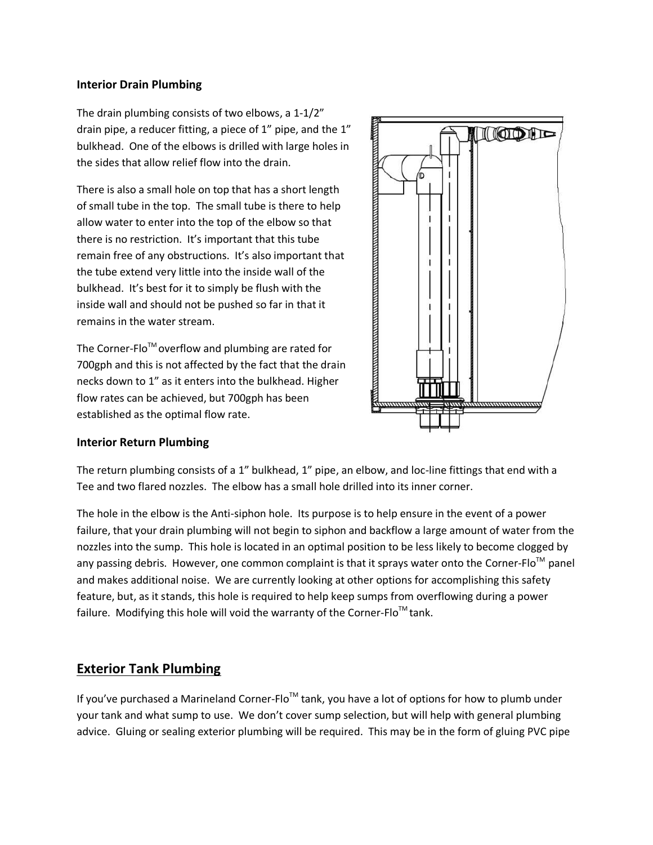#### **Interior Drain Plumbing**

The drain plumbing consists of two elbows, a 1-1/2" drain pipe, a reducer fitting, a piece of 1" pipe, and the 1" bulkhead. One of the elbows is drilled with large holes in the sides that allow relief flow into the drain.

There is also a small hole on top that has a short length of small tube in the top. The small tube is there to help allow water to enter into the top of the elbow so that there is no restriction. It's important that this tube remain free of any obstructions. It's also important that the tube extend very little into the inside wall of the bulkhead. It's best for it to simply be flush with the inside wall and should not be pushed so far in that it remains in the water stream.

The Corner-Flo<sup>TM</sup> overflow and plumbing are rated for 700gph and this is not affected by the fact that the drain necks down to 1" as it enters into the bulkhead. Higher flow rates can be achieved, but 700gph has been established as the optimal flow rate.



#### **Interior Return Plumbing**

The return plumbing consists of a 1" bulkhead, 1" pipe, an elbow, and loc-line fittings that end with a Tee and two flared nozzles. The elbow has a small hole drilled into its inner corner.

The hole in the elbow is the Anti-siphon hole. Its purpose is to help ensure in the event of a power failure, that your drain plumbing will not begin to siphon and backflow a large amount of water from the nozzles into the sump. This hole is located in an optimal position to be less likely to become clogged by any passing debris. However, one common complaint is that it sprays water onto the Corner-Flo<sup>™</sup> panel and makes additional noise. We are currently looking at other options for accomplishing this safety feature, but, as it stands, this hole is required to help keep sumps from overflowing during a power failure. Modifying this hole will void the warranty of the Corner-Flo<sup>TM</sup> tank.

# **Exterior Tank Plumbing**

If you've purchased a Marineland Corner-Flo<sup>TM</sup> tank, you have a lot of options for how to plumb under your tank and what sump to use. We don't cover sump selection, but will help with general plumbing advice. Gluing or sealing exterior plumbing will be required. This may be in the form of gluing PVC pipe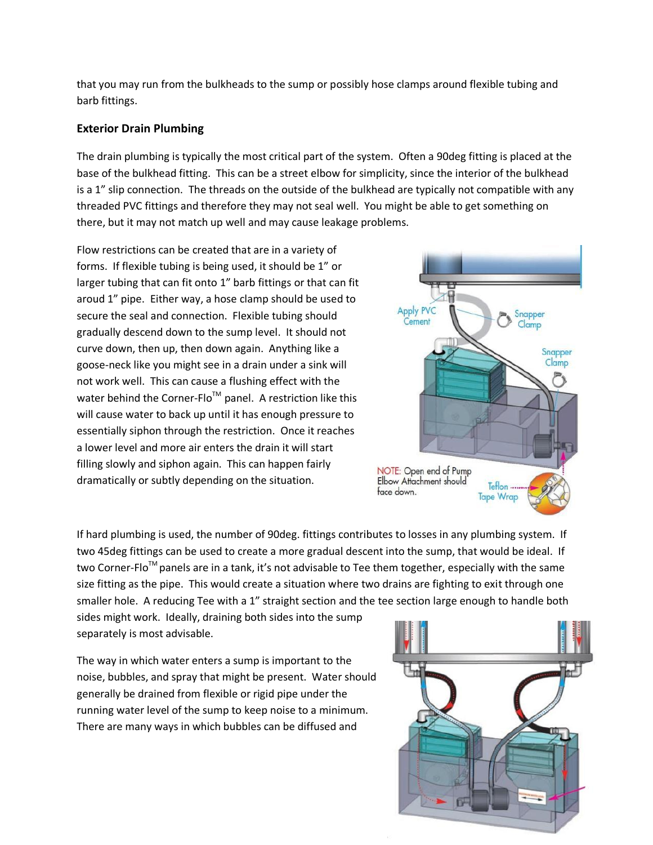that you may run from the bulkheads to the sump or possibly hose clamps around flexible tubing and barb fittings.

## **Exterior Drain Plumbing**

The drain plumbing is typically the most critical part of the system. Often a 90deg fitting is placed at the base of the bulkhead fitting. This can be a street elbow for simplicity, since the interior of the bulkhead is a 1" slip connection. The threads on the outside of the bulkhead are typically not compatible with any threaded PVC fittings and therefore they may not seal well. You might be able to get something on there, but it may not match up well and may cause leakage problems.

Flow restrictions can be created that are in a variety of forms. If flexible tubing is being used, it should be 1" or larger tubing that can fit onto 1" barb fittings or that can fit aroud 1" pipe. Either way, a hose clamp should be used to secure the seal and connection. Flexible tubing should gradually descend down to the sump level. It should not curve down, then up, then down again. Anything like a goose-neck like you might see in a drain under a sink will not work well. This can cause a flushing effect with the water behind the Corner-Flo<sup>™</sup> panel. A restriction like this will cause water to back up until it has enough pressure to essentially siphon through the restriction. Once it reaches a lower level and more air enters the drain it will start filling slowly and siphon again. This can happen fairly dramatically or subtly depending on the situation.



If hard plumbing is used, the number of 90deg. fittings contributes to losses in any plumbing system. If two 45deg fittings can be used to create a more gradual descent into the sump, that would be ideal. If two Corner-Flo<sup>™</sup> panels are in a tank, it's not advisable to Tee them together, especially with the same size fitting as the pipe. This would create a situation where two drains are fighting to exit through one smaller hole. A reducing Tee with a 1" straight section and the tee section large enough to handle both

sides might work. Ideally, draining both sides into the sump separately is most advisable.

The way in which water enters a sump is important to the noise, bubbles, and spray that might be present. Water should generally be drained from flexible or rigid pipe under the running water level of the sump to keep noise to a minimum. There are many ways in which bubbles can be diffused and